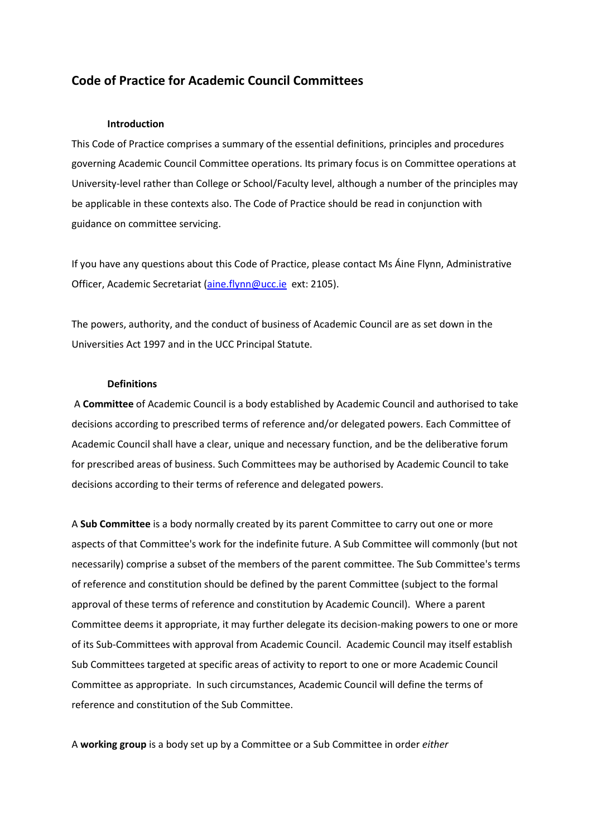# **Code of Practice for Academic Council Committees**

### **Introduction**

This Code of Practice comprises a summary of the essential definitions, principles and procedures governing Academic Council Committee operations. Its primary focus is on Committee operations at University-level rather than College or School/Faculty level, although a number of the principles may be applicable in these contexts also. The Code of Practice should be read in conjunction with guidance on committee servicing.

If you have any questions about this Code of Practice, please contact Ms Áine Flynn, Administrative Officer, Academic Secretariat [\(aine.flynn@ucc.ie](mailto:aine.flynn@ucc.ie) ext: 2105).

The powers, authority, and the conduct of business of Academic Council are as set down in the Universities Act 1997 and in the UCC Principal Statute.

#### **Definitions**

A **Committee** of Academic Council is a body established by Academic Council and authorised to take decisions according to prescribed terms of reference and/or delegated powers. Each Committee of Academic Council shall have a clear, unique and necessary function, and be the deliberative forum for prescribed areas of business. Such Committees may be authorised by Academic Council to take decisions according to their terms of reference and delegated powers.

A **Sub Committee** is a body normally created by its parent Committee to carry out one or more aspects of that Committee's work for the indefinite future. A Sub Committee will commonly (but not necessarily) comprise a subset of the members of the parent committee. The Sub Committee's terms of reference and constitution should be defined by the parent Committee (subject to the formal approval of these terms of reference and constitution by Academic Council). Where a parent Committee deems it appropriate, it may further delegate its decision-making powers to one or more of its Sub-Committees with approval from Academic Council. Academic Council may itself establish Sub Committees targeted at specific areas of activity to report to one or more Academic Council Committee as appropriate. In such circumstances, Academic Council will define the terms of reference and constitution of the Sub Committee.

A **working group** is a body set up by a Committee or a Sub Committee in order *either*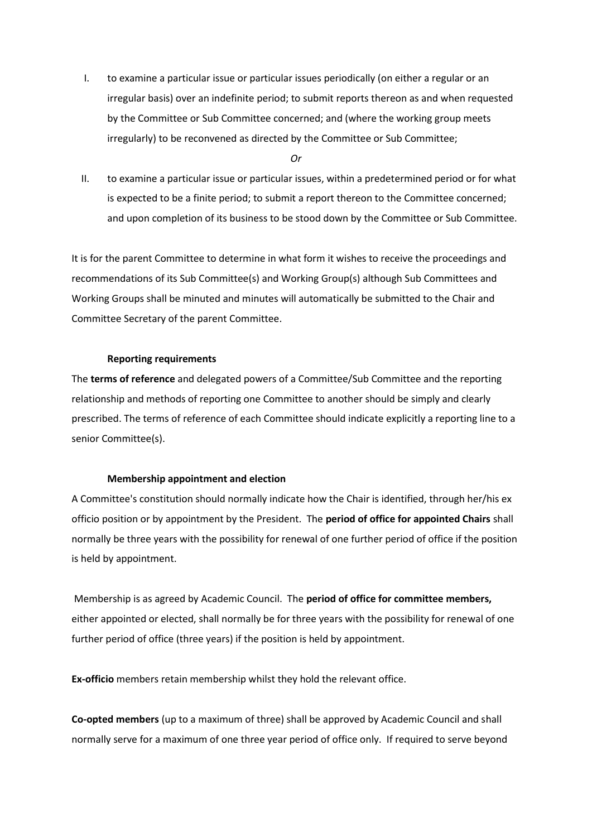I. to examine a particular issue or particular issues periodically (on either a regular or an irregular basis) over an indefinite period; to submit reports thereon as and when requested by the Committee or Sub Committee concerned; and (where the working group meets irregularly) to be reconvened as directed by the Committee or Sub Committee;

*Or*

II. to examine a particular issue or particular issues, within a predetermined period or for what is expected to be a finite period; to submit a report thereon to the Committee concerned; and upon completion of its business to be stood down by the Committee or Sub Committee.

It is for the parent Committee to determine in what form it wishes to receive the proceedings and recommendations of its Sub Committee(s) and Working Group(s) although Sub Committees and Working Groups shall be minuted and minutes will automatically be submitted to the Chair and Committee Secretary of the parent Committee.

### **Reporting requirements**

The **terms of reference** and delegated powers of a Committee/Sub Committee and the reporting relationship and methods of reporting one Committee to another should be simply and clearly prescribed. The terms of reference of each Committee should indicate explicitly a reporting line to a senior Committee(s).

## **Membership appointment and election**

A Committee's constitution should normally indicate how the Chair is identified, through her/his ex officio position or by appointment by the President. The **period of office for appointed Chairs** shall normally be three years with the possibility for renewal of one further period of office if the position is held by appointment.

Membership is as agreed by Academic Council. The **period of office for committee members,** either appointed or elected, shall normally be for three years with the possibility for renewal of one further period of office (three years) if the position is held by appointment.

**Ex-officio** members retain membership whilst they hold the relevant office.

**Co-opted members** (up to a maximum of three) shall be approved by Academic Council and shall normally serve for a maximum of one three year period of office only. If required to serve beyond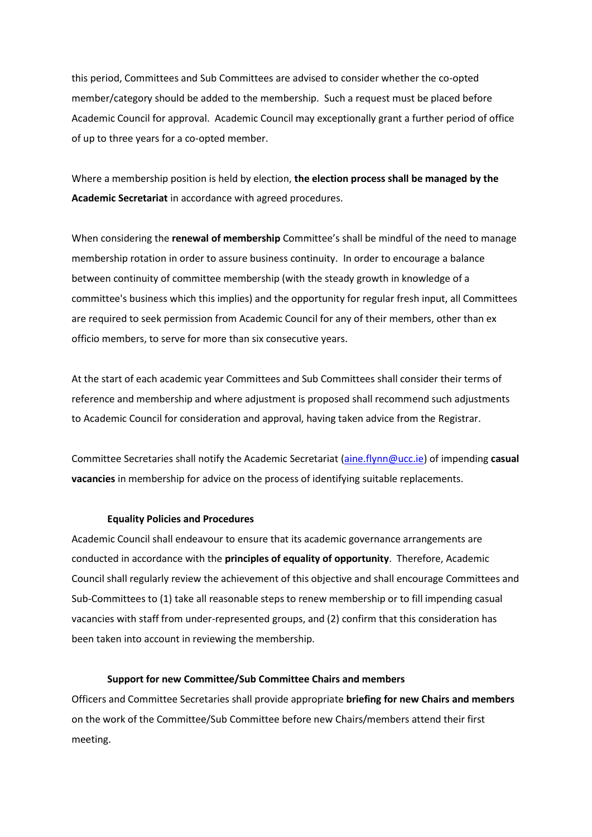this period, Committees and Sub Committees are advised to consider whether the co-opted member/category should be added to the membership. Such a request must be placed before Academic Council for approval. Academic Council may exceptionally grant a further period of office of up to three years for a co-opted member.

Where a membership position is held by election, **the election process shall be managed by the Academic Secretariat** in accordance with agreed procedures.

When considering the **renewal of membership** Committee's shall be mindful of the need to manage membership rotation in order to assure business continuity. In order to encourage a balance between continuity of committee membership (with the steady growth in knowledge of a committee's business which this implies) and the opportunity for regular fresh input, all Committees are required to seek permission from Academic Council for any of their members, other than ex officio members, to serve for more than six consecutive years.

At the start of each academic year Committees and Sub Committees shall consider their terms of reference and membership and where adjustment is proposed shall recommend such adjustments to Academic Council for consideration and approval, having taken advice from the Registrar.

Committee Secretaries shall notify the Academic Secretariat [\(aine.flynn@ucc.ie\)](mailto:aine.flynn@ucc.ie) of impending **casual vacancies** in membership for advice on the process of identifying suitable replacements.

#### **Equality Policies and Procedures**

Academic Council shall endeavour to ensure that its academic governance arrangements are conducted in accordance with the **principles of equality of opportunity**. Therefore, Academic Council shall regularly review the achievement of this objective and shall encourage Committees and Sub-Committees to (1) take all reasonable steps to renew membership or to fill impending casual vacancies with staff from under-represented groups, and (2) confirm that this consideration has been taken into account in reviewing the membership.

#### **Support for new Committee/Sub Committee Chairs and members**

Officers and Committee Secretaries shall provide appropriate **briefing for new Chairs and members**  on the work of the Committee/Sub Committee before new Chairs/members attend their first meeting.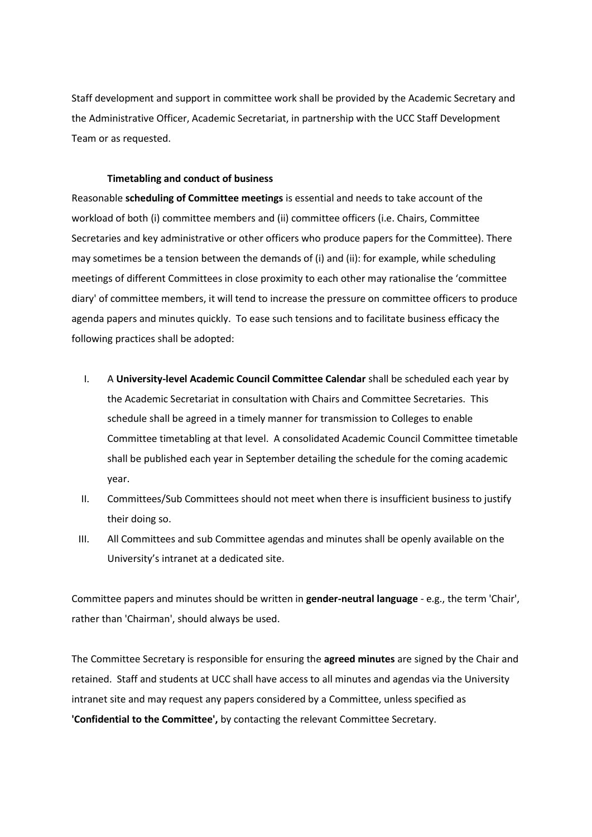Staff development and support in committee work shall be provided by the Academic Secretary and the Administrative Officer, Academic Secretariat, in partnership with the UCC Staff Development Team or as requested.

### **Timetabling and conduct of business**

Reasonable **scheduling of Committee meetings** is essential and needs to take account of the workload of both (i) committee members and (ii) committee officers (i.e. Chairs, Committee Secretaries and key administrative or other officers who produce papers for the Committee). There may sometimes be a tension between the demands of (i) and (ii): for example, while scheduling meetings of different Committees in close proximity to each other may rationalise the 'committee diary' of committee members, it will tend to increase the pressure on committee officers to produce agenda papers and minutes quickly. To ease such tensions and to facilitate business efficacy the following practices shall be adopted:

- I. A **University-level Academic Council Committee Calendar** shall be scheduled each year by the Academic Secretariat in consultation with Chairs and Committee Secretaries. This schedule shall be agreed in a timely manner for transmission to Colleges to enable Committee timetabling at that level. A consolidated Academic Council Committee timetable shall be published each year in September detailing the schedule for the coming academic year.
- II. Committees/Sub Committees should not meet when there is insufficient business to justify their doing so.
- III. All Committees and sub Committee agendas and minutes shall be openly available on the University's intranet at a dedicated site.

Committee papers and minutes should be written in **gender-neutral language** - e.g., the term 'Chair', rather than 'Chairman', should always be used.

The Committee Secretary is responsible for ensuring the **agreed minutes** are signed by the Chair and retained. Staff and students at UCC shall have access to all minutes and agendas via the University intranet site and may request any papers considered by a Committee, unless specified as **'Confidential to the Committee',** by contacting the relevant Committee Secretary.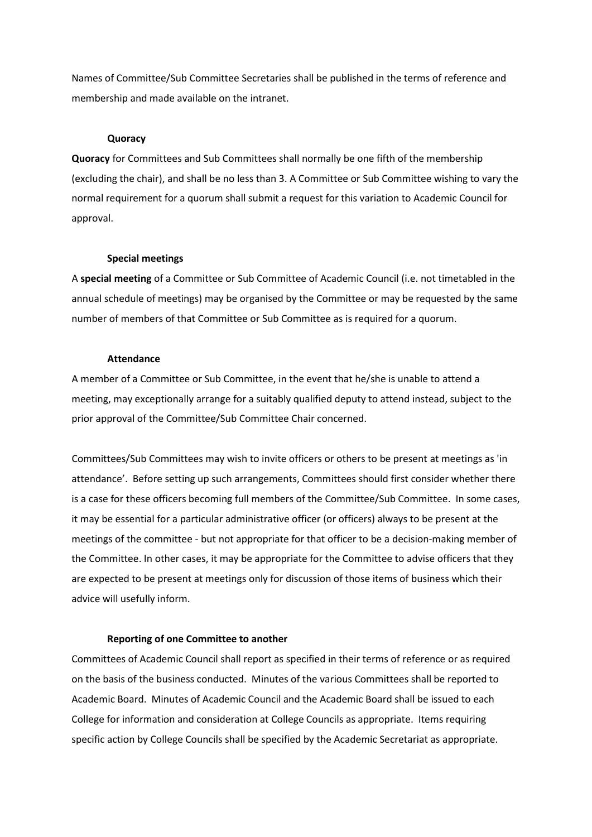Names of Committee/Sub Committee Secretaries shall be published in the terms of reference and membership and made available on the intranet.

#### **Quoracy**

**Quoracy** for Committees and Sub Committees shall normally be one fifth of the membership (excluding the chair), and shall be no less than 3. A Committee or Sub Committee wishing to vary the normal requirement for a quorum shall submit a request for this variation to Academic Council for approval.

#### **Special meetings**

A **special meeting** of a Committee or Sub Committee of Academic Council (i.e. not timetabled in the annual schedule of meetings) may be organised by the Committee or may be requested by the same number of members of that Committee or Sub Committee as is required for a quorum.

#### **Attendance**

A member of a Committee or Sub Committee, in the event that he/she is unable to attend a meeting, may exceptionally arrange for a suitably qualified deputy to attend instead, subject to the prior approval of the Committee/Sub Committee Chair concerned.

Committees/Sub Committees may wish to invite officers or others to be present at meetings as 'in attendance'. Before setting up such arrangements, Committees should first consider whether there is a case for these officers becoming full members of the Committee/Sub Committee. In some cases, it may be essential for a particular administrative officer (or officers) always to be present at the meetings of the committee - but not appropriate for that officer to be a decision-making member of the Committee. In other cases, it may be appropriate for the Committee to advise officers that they are expected to be present at meetings only for discussion of those items of business which their advice will usefully inform.

#### **Reporting of one Committee to another**

Committees of Academic Council shall report as specified in their terms of reference or as required on the basis of the business conducted. Minutes of the various Committees shall be reported to Academic Board. Minutes of Academic Council and the Academic Board shall be issued to each College for information and consideration at College Councils as appropriate. Items requiring specific action by College Councils shall be specified by the Academic Secretariat as appropriate.